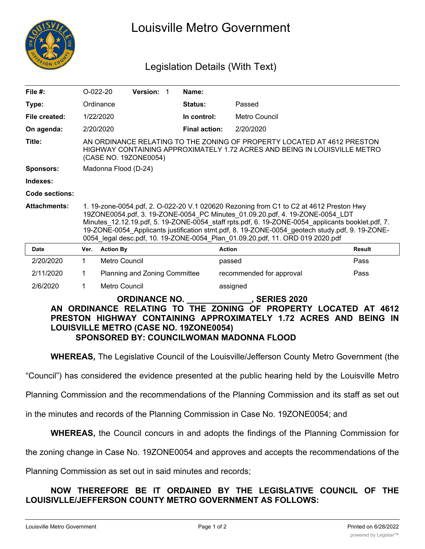

# Louisville Metro Government

## Legislation Details (With Text)

| File $#$ :                                                                                                                                                                  | $O-022-20$                                                                                                                                                                                                                                                                                                                                                                                                                                                    |                               | Version: 1 |  | Name:                |                          |        |
|-----------------------------------------------------------------------------------------------------------------------------------------------------------------------------|---------------------------------------------------------------------------------------------------------------------------------------------------------------------------------------------------------------------------------------------------------------------------------------------------------------------------------------------------------------------------------------------------------------------------------------------------------------|-------------------------------|------------|--|----------------------|--------------------------|--------|
| Type:                                                                                                                                                                       |                                                                                                                                                                                                                                                                                                                                                                                                                                                               | Ordinance                     |            |  | Status:              | Passed                   |        |
| File created:                                                                                                                                                               |                                                                                                                                                                                                                                                                                                                                                                                                                                                               | 1/22/2020                     |            |  | In control:          | Metro Council            |        |
| On agenda:                                                                                                                                                                  | 2/20/2020                                                                                                                                                                                                                                                                                                                                                                                                                                                     |                               |            |  | <b>Final action:</b> | 2/20/2020                |        |
| Title:                                                                                                                                                                      | AN ORDINANCE RELATING TO THE ZONING OF PROPERTY LOCATED AT 4612 PRESTON<br>HIGHWAY CONTAINING APPROXIMATELY 1.72 ACRES AND BEING IN LOUISVILLE METRO<br>(CASE NO. 19ZONE0054)                                                                                                                                                                                                                                                                                 |                               |            |  |                      |                          |        |
| <b>Sponsors:</b>                                                                                                                                                            | Madonna Flood (D-24)                                                                                                                                                                                                                                                                                                                                                                                                                                          |                               |            |  |                      |                          |        |
| Indexes:                                                                                                                                                                    |                                                                                                                                                                                                                                                                                                                                                                                                                                                               |                               |            |  |                      |                          |        |
| Code sections:                                                                                                                                                              |                                                                                                                                                                                                                                                                                                                                                                                                                                                               |                               |            |  |                      |                          |        |
| <b>Attachments:</b>                                                                                                                                                         | 1. 19-zone-0054.pdf, 2. O-022-20 V.1 020620 Rezoning from C1 to C2 at 4612 Preston Hwy<br>19ZONE0054.pdf, 3. 19-ZONE-0054 PC Minutes 01.09.20.pdf, 4. 19-ZONE-0054 LDT<br>Minutes 12.12.19.pdf, 5. 19-ZONE-0054 staff rpts.pdf, 6. 19-ZONE-0054 applicants booklet.pdf, 7.<br>19-ZONE-0054 Applicants justification stmt.pdf, 8. 19-ZONE-0054 geotech study.pdf, 9. 19-ZONE-<br>0054 legal desc.pdf, 10. 19-ZONE-0054 Plan_01.09.20.pdf, 11. ORD 019 2020.pdf |                               |            |  |                      |                          |        |
| Date                                                                                                                                                                        | Ver.                                                                                                                                                                                                                                                                                                                                                                                                                                                          | <b>Action By</b>              |            |  |                      | <b>Action</b>            | Result |
| 2/20/2020                                                                                                                                                                   | 1                                                                                                                                                                                                                                                                                                                                                                                                                                                             | Metro Council                 |            |  |                      | passed                   | Pass   |
| 2/11/2020                                                                                                                                                                   | 1                                                                                                                                                                                                                                                                                                                                                                                                                                                             | Planning and Zoning Committee |            |  |                      | recommended for approval | Pass   |
| 2/6/2020                                                                                                                                                                    | 1                                                                                                                                                                                                                                                                                                                                                                                                                                                             | Metro Council                 |            |  |                      | assigned                 |        |
| <b>ORDINANCE NO.</b><br>, SERIES 2020<br>AN ORDINANCE RELATING TO THE ZONING OF PROPERTY LOCATED AT 4612<br>PRESTON HIGHWAY CONTAINING APPROXIMATELY 172 ACRES AND REING IN |                                                                                                                                                                                                                                                                                                                                                                                                                                                               |                               |            |  |                      |                          |        |

## **PRESTON HIGHWAY CONTAINING APPROXIMATELY 1.72 ACRES AND BEING IN LOUISVILLE METRO (CASE NO. 19ZONE0054) SPONSORED BY: COUNCILWOMAN MADONNA FLOOD**

**WHEREAS,** The Legislative Council of the Louisville/Jefferson County Metro Government (the

"Council") has considered the evidence presented at the public hearing held by the Louisville Metro

Planning Commission and the recommendations of the Planning Commission and its staff as set out

in the minutes and records of the Planning Commission in Case No. 19ZONE0054; and

**WHEREAS,** the Council concurs in and adopts the findings of the Planning Commission for

the zoning change in Case No. 19ZONE0054 and approves and accepts the recommendations of the

Planning Commission as set out in said minutes and records;

### **NOW THEREFORE BE IT ORDAINED BY THE LEGISLATIVE COUNCIL OF THE LOUISIVLLE/JEFFERSON COUNTY METRO GOVERNMENT AS FOLLOWS:**